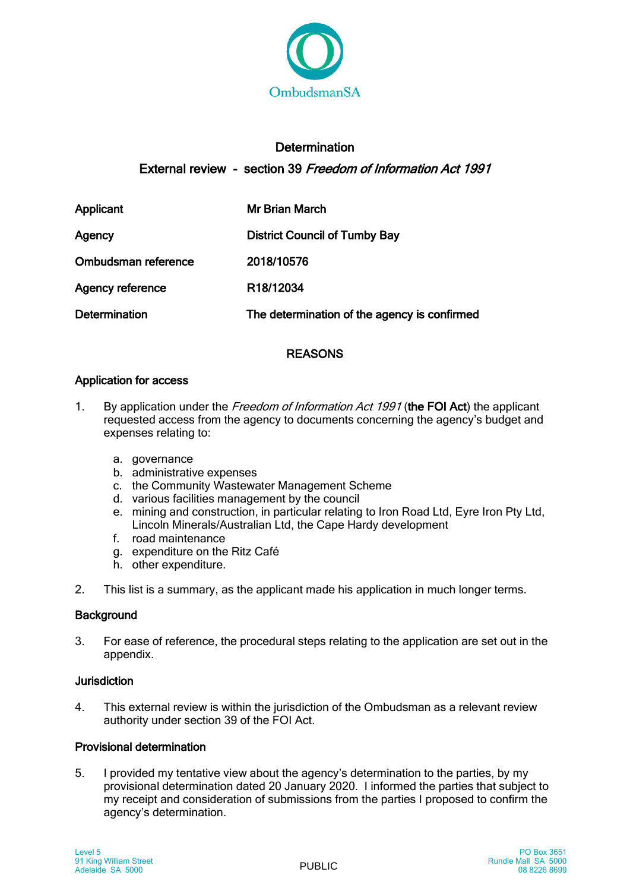

# **Determination** External review - section 39 Freedom of Information Act 1991

| Applicant               | Mr Brian March                               |
|-------------------------|----------------------------------------------|
| Agency                  | <b>District Council of Tumby Bay</b>         |
| Ombudsman reference     | 2018/10576                                   |
| <b>Agency reference</b> | R18/12034                                    |
| <b>Determination</b>    | The determination of the agency is confirmed |

# REASONS

# Application for access

- 1. By application under the Freedom of Information Act 1991 (the FOI Act) the applicant requested access from the agency to documents concerning the agency's budget and expenses relating to:
	- a. governance
	- b. administrative expenses
	- c. the Community Wastewater Management Scheme
	- d. various facilities management by the council
	- e. mining and construction, in particular relating to Iron Road Ltd, Eyre Iron Pty Ltd, Lincoln Minerals/Australian Ltd, the Cape Hardy development
	- f. road maintenance
	- g. expenditure on the Ritz Café
	- h. other expenditure.
- 2. This list is a summary, as the applicant made his application in much longer terms.

# **Background**

3. For ease of reference, the procedural steps relating to the application are set out in the appendix.

### Jurisdiction

4. This external review is within the jurisdiction of the Ombudsman as a relevant review authority under section 39 of the FOI Act.

## Provisional determination

5. I provided my tentative view about the agency's determination to the parties, by my provisional determination dated 20 January 2020. I informed the parties that subject to my receipt and consideration of submissions from the parties I proposed to confirm the agency's determination.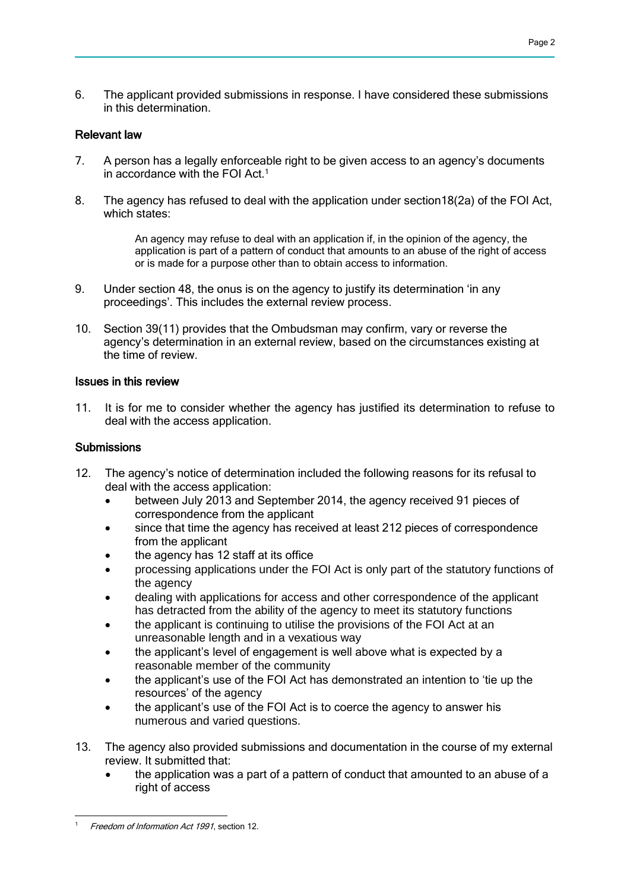6. The applicant provided submissions in response. I have considered these submissions in this determination.

#### Relevant law

- 7. A person has a legally enforceable right to be given access to an agency's documents in accordance with the FOI Act.<sup>1</sup>
- 8. The agency has refused to deal with the application under section18(2a) of the FOI Act, which states:

An agency may refuse to deal with an application if, in the opinion of the agency, the application is part of a pattern of conduct that amounts to an abuse of the right of access or is made for a purpose other than to obtain access to information.

- 9. Under section 48, the onus is on the agency to justify its determination 'in any proceedings'. This includes the external review process.
- 10. Section 39(11) provides that the Ombudsman may confirm, vary or reverse the agency's determination in an external review, based on the circumstances existing at the time of review.

#### Issues in this review

11. It is for me to consider whether the agency has justified its determination to refuse to deal with the access application.

#### **Submissions**

- 12. The agency's notice of determination included the following reasons for its refusal to deal with the access application:
	- between July 2013 and September 2014, the agency received 91 pieces of correspondence from the applicant
	- since that time the agency has received at least 212 pieces of correspondence from the applicant
	- the agency has 12 staff at its office
	- processing applications under the FOI Act is only part of the statutory functions of the agency
	- dealing with applications for access and other correspondence of the applicant has detracted from the ability of the agency to meet its statutory functions
	- the applicant is continuing to utilise the provisions of the FOI Act at an unreasonable length and in a vexatious way
	- the applicant's level of engagement is well above what is expected by a reasonable member of the community
	- the applicant's use of the FOI Act has demonstrated an intention to 'tie up the resources' of the agency
	- the applicant's use of the FOI Act is to coerce the agency to answer his numerous and varied questions.
- 13. The agency also provided submissions and documentation in the course of my external review. It submitted that:
	- the application was a part of a pattern of conduct that amounted to an abuse of a right of access

 Freedom of Information Act 1991, section 12.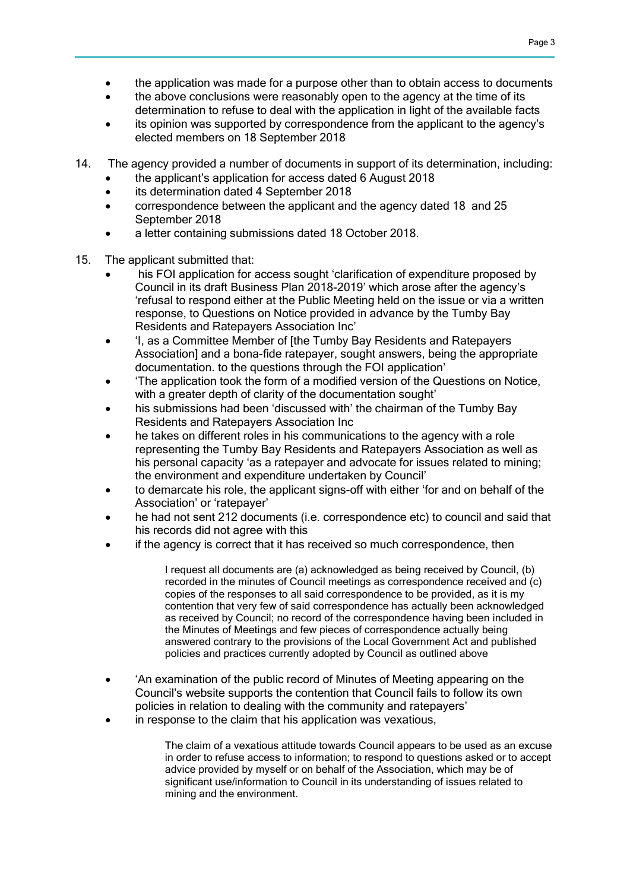- the application was made for a purpose other than to obtain access to documents
- the above conclusions were reasonably open to the agency at the time of its determination to refuse to deal with the application in light of the available facts
- its opinion was supported by correspondence from the applicant to the agency's elected members on 18 September 2018
- 14. The agency provided a number of documents in support of its determination, including:
	- the applicant's application for access dated 6 August 2018
	- its determination dated 4 September 2018
	- correspondence between the applicant and the agency dated 18 and 25 September 2018
	- a letter containing submissions dated 18 October 2018.
- 15. The applicant submitted that:
	- his FOI application for access sought 'clarification of expenditure proposed by Council in its draft Business Plan 2018-2019' which arose after the agency's 'refusal to respond either at the Public Meeting held on the issue or via a written response, to Questions on Notice provided in advance by the Tumby Bay Residents and Ratepayers Association Inc'
	- 'I, as a Committee Member of [the Tumby Bay Residents and Ratepayers Association] and a bona-fide ratepayer, sought answers, being the appropriate documentation. to the questions through the FOI application'
	- 'The application took the form of a modified version of the Questions on Notice, with a greater depth of clarity of the documentation sought'
	- his submissions had been 'discussed with' the chairman of the Tumby Bay Residents and Ratepayers Association Inc
	- he takes on different roles in his communications to the agency with a role representing the Tumby Bay Residents and Ratepayers Association as well as his personal capacity 'as a ratepayer and advocate for issues related to mining; the environment and expenditure undertaken by Council'
	- to demarcate his role, the applicant signs-off with either 'for and on behalf of the Association' or 'ratepayer'
	- he had not sent 212 documents (i.e. correspondence etc) to council and said that his records did not agree with this
	- if the agency is correct that it has received so much correspondence, then

I request all documents are (a) acknowledged as being received by Council, (b) recorded in the minutes of Council meetings as correspondence received and (c) copies of the responses to all said correspondence to be provided, as it is my contention that very few of said correspondence has actually been acknowledged as received by Council; no record of the correspondence having been included in the Minutes of Meetings and few pieces of correspondence actually being answered contrary to the provisions of the Local Government Act and published policies and practices currently adopted by Council as outlined above

- 'An examination of the public record of Minutes of Meeting appearing on the Council's website supports the contention that Council fails to follow its own policies in relation to dealing with the community and ratepayers'
- in response to the claim that his application was vexatious,

The claim of a vexatious attitude towards Council appears to be used as an excuse in order to refuse access to information; to respond to questions asked or to accept advice provided by myself or on behalf of the Association, which may be of significant use/information to Council in its understanding of issues related to mining and the environment.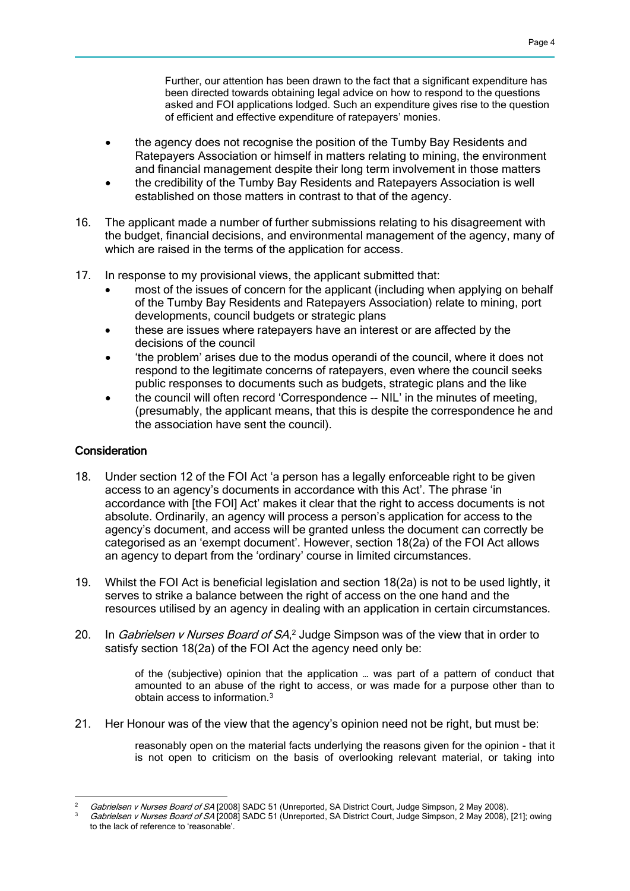Further, our attention has been drawn to the fact that a significant expenditure has been directed towards obtaining legal advice on how to respond to the questions asked and FOI applications lodged. Such an expenditure gives rise to the question of efficient and effective expenditure of ratepayers' monies.

- the agency does not recognise the position of the Tumby Bay Residents and Ratepayers Association or himself in matters relating to mining, the environment and financial management despite their long term involvement in those matters
- the credibility of the Tumby Bay Residents and Ratepayers Association is well established on those matters in contrast to that of the agency.
- 16. The applicant made a number of further submissions relating to his disagreement with the budget, financial decisions, and environmental management of the agency, many of which are raised in the terms of the application for access.
- 17. In response to my provisional views, the applicant submitted that:
	- most of the issues of concern for the applicant (including when applying on behalf of the Tumby Bay Residents and Ratepayers Association) relate to mining, port developments, council budgets or strategic plans
	- these are issues where ratepayers have an interest or are affected by the decisions of the council
	- 'the problem' arises due to the modus operandi of the council, where it does not respond to the legitimate concerns of ratepayers, even where the council seeks public responses to documents such as budgets, strategic plans and the like
	- the council will often record 'Correspondence -- NIL' in the minutes of meeting, (presumably, the applicant means, that this is despite the correspondence he and the association have sent the council).

## **Consideration**

- 18. Under section 12 of the FOI Act 'a person has a legally enforceable right to be given access to an agency's documents in accordance with this Act'. The phrase 'in accordance with [the FOI] Act' makes it clear that the right to access documents is not absolute. Ordinarily, an agency will process a person's application for access to the agency's document, and access will be granted unless the document can correctly be categorised as an 'exempt document'. However, section 18(2a) of the FOI Act allows an agency to depart from the 'ordinary' course in limited circumstances.
- 19. Whilst the FOI Act is beneficial legislation and section 18(2a) is not to be used lightly, it serves to strike a balance between the right of access on the one hand and the resources utilised by an agency in dealing with an application in certain circumstances.
- 20. In Gabrielsen v Nurses Board of SA,<sup>2</sup> Judge Simpson was of the view that in order to satisfy section 18(2a) of the FOI Act the agency need only be:

of the (subjective) opinion that the application … was part of a pattern of conduct that amounted to an abuse of the right to access, or was made for a purpose other than to obtain access to information.<sup>3</sup>

21. Her Honour was of the view that the agency's opinion need not be right, but must be:

reasonably open on the material facts underlying the reasons given for the opinion - that it is not open to criticism on the basis of overlooking relevant material, or taking into

Gabrielsen v Nurses Board of SA [2008] SADC 51 (Unreported, SA District Court, Judge Simpson, 2 May 2008).

Gabrielsen v Nurses Board of SA [2008] SADC 51 (Unreported, SA District Court, Judge Simpson, 2 May 2008), [21]; owing to the lack of reference to 'reasonable'.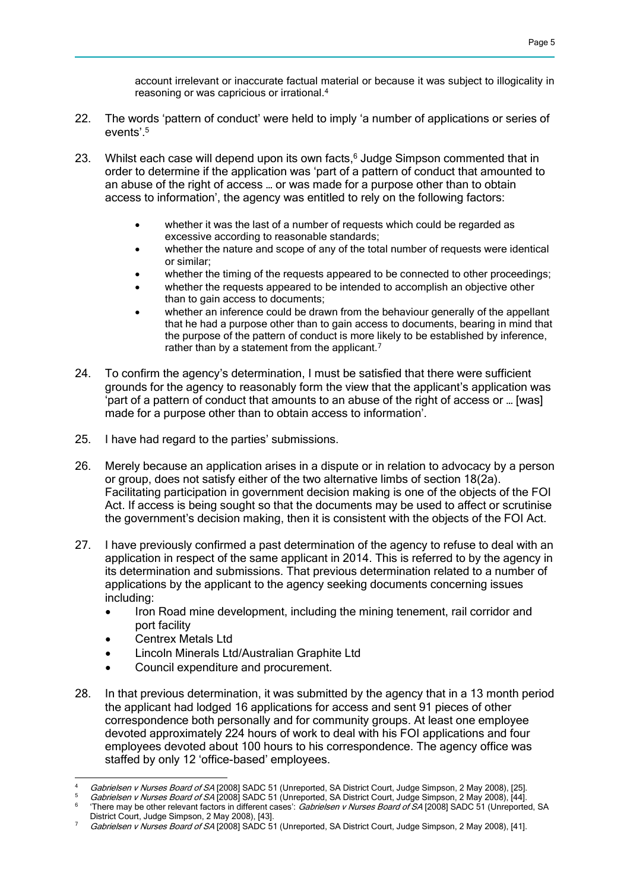account irrelevant or inaccurate factual material or because it was subject to illogicality in reasoning or was capricious or irrational.<sup>4</sup>

- 22. The words 'pattern of conduct' were held to imply 'a number of applications or series of events'.<sup>5</sup>
- 23. Whilst each case will depend upon its own facts, $6$  Judge Simpson commented that in order to determine if the application was 'part of a pattern of conduct that amounted to an abuse of the right of access … or was made for a purpose other than to obtain access to information', the agency was entitled to rely on the following factors:
	- whether it was the last of a number of requests which could be regarded as excessive according to reasonable standards;
	- whether the nature and scope of any of the total number of requests were identical or similar;
	- whether the timing of the requests appeared to be connected to other proceedings;
	- whether the requests appeared to be intended to accomplish an objective other than to gain access to documents;
	- whether an inference could be drawn from the behaviour generally of the appellant that he had a purpose other than to gain access to documents, bearing in mind that the purpose of the pattern of conduct is more likely to be established by inference, rather than by a statement from the applicant.<sup>7</sup>
- 24. To confirm the agency's determination, I must be satisfied that there were sufficient grounds for the agency to reasonably form the view that the applicant's application was 'part of a pattern of conduct that amounts to an abuse of the right of access or … [was] made for a purpose other than to obtain access to information'.
- 25. I have had regard to the parties' submissions.
- 26. Merely because an application arises in a dispute or in relation to advocacy by a person or group, does not satisfy either of the two alternative limbs of section 18(2a). Facilitating participation in government decision making is one of the objects of the FOI Act. If access is being sought so that the documents may be used to affect or scrutinise the government's decision making, then it is consistent with the objects of the FOI Act.
- 27. I have previously confirmed a past determination of the agency to refuse to deal with an application in respect of the same applicant in 2014. This is referred to by the agency in its determination and submissions. That previous determination related to a number of applications by the applicant to the agency seeking documents concerning issues including:
	- Iron Road mine development, including the mining tenement, rail corridor and port facility
	- Centrex Metals Ltd
	- Lincoln Minerals Ltd/Australian Graphite Ltd
	- Council expenditure and procurement.
- 28. In that previous determination, it was submitted by the agency that in a 13 month period the applicant had lodged 16 applications for access and sent 91 pieces of other correspondence both personally and for community groups. At least one employee devoted approximately 224 hours of work to deal with his FOI applications and four employees devoted about 100 hours to his correspondence. The agency office was staffed by only 12 'office-based' employees.

 $\lambda$ Gabrielsen v Nurses Board of SA [2008] SADC 51 (Unreported, SA District Court, Judge Simpson, 2 May 2008), [25].

Gabrielsen v Nurses Board of SA [2008] SADC 51 (Unreported, SA District Court, Judge Simpson, 2 May 2008), [44]. 6 'There may be other relevant factors in different cases': Gabrielsen v Nurses Board of SA [2008] SADC 51 (Unreported, SA District Court, Judge Simpson, 2 May 2008), [43].

<sup>7</sup> Gabrielsen v Nurses Board of SA [2008] SADC 51 (Unreported, SA District Court, Judge Simpson, 2 May 2008), [41].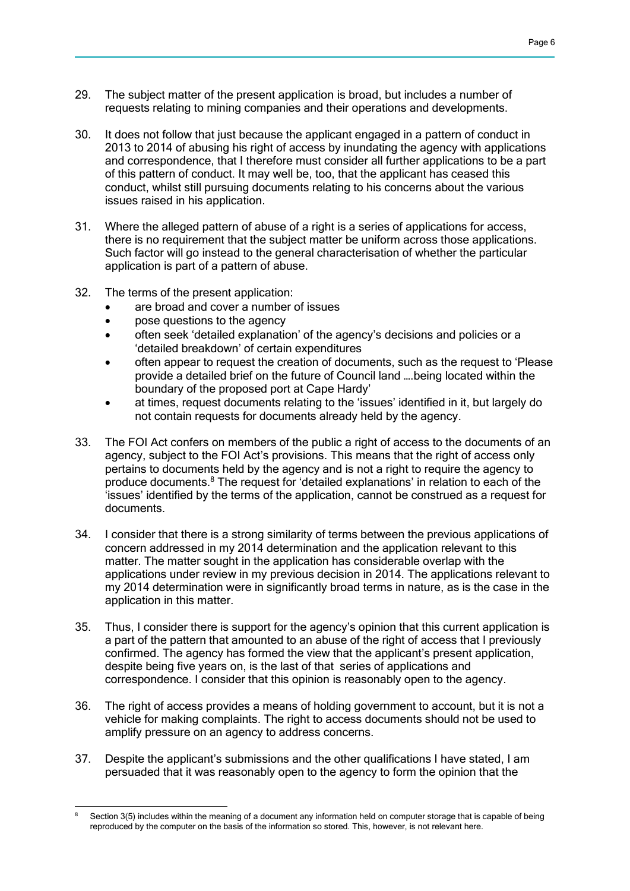- 29. The subject matter of the present application is broad, but includes a number of requests relating to mining companies and their operations and developments.
- 30. It does not follow that just because the applicant engaged in a pattern of conduct in 2013 to 2014 of abusing his right of access by inundating the agency with applications and correspondence, that I therefore must consider all further applications to be a part of this pattern of conduct. It may well be, too, that the applicant has ceased this conduct, whilst still pursuing documents relating to his concerns about the various issues raised in his application.
- 31. Where the alleged pattern of abuse of a right is a series of applications for access, there is no requirement that the subject matter be uniform across those applications. Such factor will go instead to the general characterisation of whether the particular application is part of a pattern of abuse.
- 32. The terms of the present application:
	- are broad and cover a number of issues
	- pose questions to the agency
	- often seek 'detailed explanation' of the agency's decisions and policies or a 'detailed breakdown' of certain expenditures
	- often appear to request the creation of documents, such as the request to 'Please provide a detailed brief on the future of Council land ….being located within the boundary of the proposed port at Cape Hardy'
	- at times, request documents relating to the 'issues' identified in it, but largely do not contain requests for documents already held by the agency.
- 33. The FOI Act confers on members of the public a right of access to the documents of an agency, subject to the FOI Act's provisions. This means that the right of access only pertains to documents held by the agency and is not a right to require the agency to produce documents.<sup>8</sup> The request for 'detailed explanations' in relation to each of the 'issues' identified by the terms of the application, cannot be construed as a request for documents.
- 34. I consider that there is a strong similarity of terms between the previous applications of concern addressed in my 2014 determination and the application relevant to this matter. The matter sought in the application has considerable overlap with the applications under review in my previous decision in 2014. The applications relevant to my 2014 determination were in significantly broad terms in nature, as is the case in the application in this matter.
- 35. Thus, I consider there is support for the agency's opinion that this current application is a part of the pattern that amounted to an abuse of the right of access that I previously confirmed. The agency has formed the view that the applicant's present application, despite being five years on, is the last of that series of applications and correspondence. I consider that this opinion is reasonably open to the agency.
- 36. The right of access provides a means of holding government to account, but it is not a vehicle for making complaints. The right to access documents should not be used to amplify pressure on an agency to address concerns.
- 37. Despite the applicant's submissions and the other qualifications I have stated, I am persuaded that it was reasonably open to the agency to form the opinion that the

 Section 3(5) includes within the meaning of a document any information held on computer storage that is capable of being reproduced by the computer on the basis of the information so stored. This, however, is not relevant here.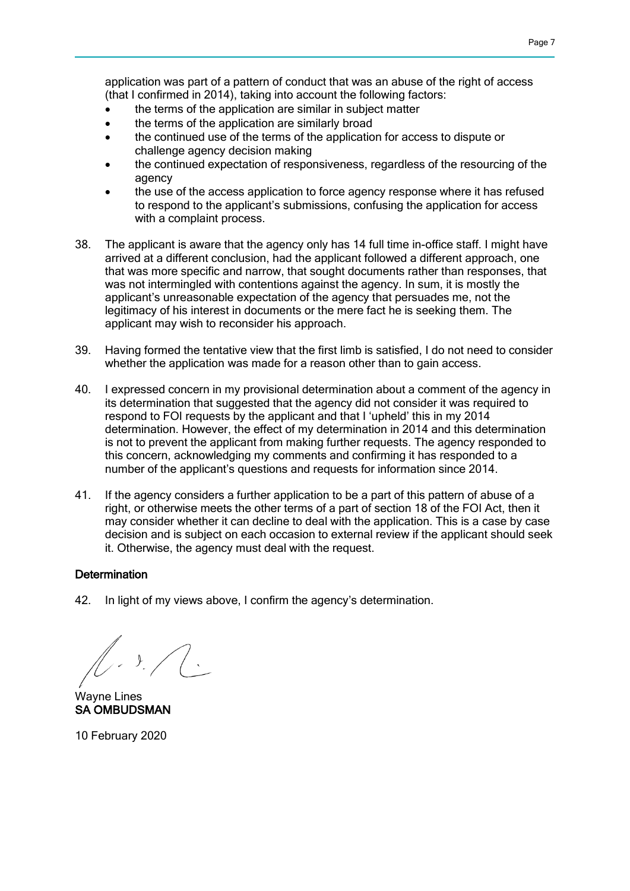application was part of a pattern of conduct that was an abuse of the right of access (that I confirmed in 2014), taking into account the following factors:

- the terms of the application are similar in subject matter
- the terms of the application are similarly broad
- the continued use of the terms of the application for access to dispute or challenge agency decision making
- the continued expectation of responsiveness, regardless of the resourcing of the agency
- the use of the access application to force agency response where it has refused to respond to the applicant's submissions, confusing the application for access with a complaint process.
- 38. The applicant is aware that the agency only has 14 full time in-office staff. I might have arrived at a different conclusion, had the applicant followed a different approach, one that was more specific and narrow, that sought documents rather than responses, that was not intermingled with contentions against the agency. In sum, it is mostly the applicant's unreasonable expectation of the agency that persuades me, not the legitimacy of his interest in documents or the mere fact he is seeking them. The applicant may wish to reconsider his approach.
- 39. Having formed the tentative view that the first limb is satisfied, I do not need to consider whether the application was made for a reason other than to gain access.
- 40. I expressed concern in my provisional determination about a comment of the agency in its determination that suggested that the agency did not consider it was required to respond to FOI requests by the applicant and that I 'upheld' this in my 2014 determination. However, the effect of my determination in 2014 and this determination is not to prevent the applicant from making further requests. The agency responded to this concern, acknowledging my comments and confirming it has responded to a number of the applicant's questions and requests for information since 2014.
- 41. If the agency considers a further application to be a part of this pattern of abuse of a right, or otherwise meets the other terms of a part of section 18 of the FOI Act, then it may consider whether it can decline to deal with the application. This is a case by case decision and is subject on each occasion to external review if the applicant should seek it. Otherwise, the agency must deal with the request.

### **Determination**

42. In light of my views above, I confirm the agency's determination.

Wayne Lines SA OMBUDSMAN

10 February 2020